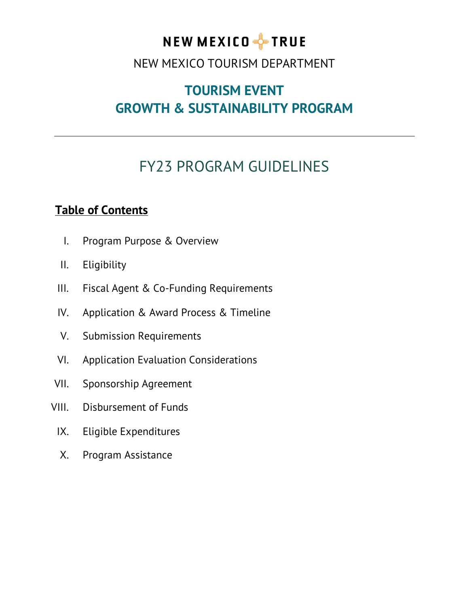# NEW MEXICO FFIRUE

### NEW MEXICO TOURISM DEPARTMENT

## **TOURISM EVENT GROWTH & SUSTAINABILITY PROGRAM**

# FY23 PROGRAM GUIDELINES

### **Table of Contents**

- I. Program Purpose & Overview
- II. Eligibility
- III. Fiscal Agent & Co-Funding Requirements
- IV. Application & Award Process & Timeline
- V. Submission Requirements
- VI. Application Evaluation Considerations
- VII. Sponsorship Agreement
- VIII. Disbursement of Funds
	- IX. Eligible Expenditures
	- X. Program Assistance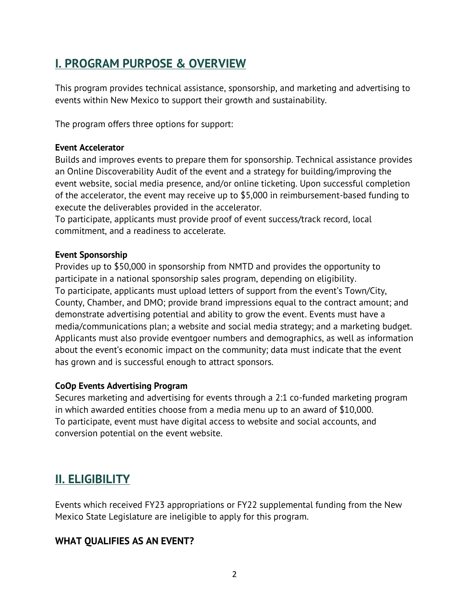### **I. PROGRAM PURPOSE & OVERVIEW**

This program provides technical assistance, sponsorship, and marketing and advertising to events within New Mexico to support their growth and sustainability.

The program offers three options for support:

#### **Event Accelerator**

Builds and improves events to prepare them for sponsorship. Technical assistance provides an Online Discoverability Audit of the event and a strategy for building/improving the event website, social media presence, and/or online ticketing. Upon successful completion of the accelerator, the event may receive up to \$5,000 in reimbursement-based funding to execute the deliverables provided in the accelerator.

To participate, applicants must provide proof of event success/track record, local commitment, and a readiness to accelerate.

#### **Event Sponsorship**

Provides up to \$50,000 in sponsorship from NMTD and provides the opportunity to participate in a national sponsorship sales program, depending on eligibility. To participate, applicants must upload letters of support from the event's Town/City, County, Chamber, and DMO; provide brand impressions equal to the contract amount; and demonstrate advertising potential and ability to grow the event. Events must have a media/communications plan; a website and social media strategy; and a marketing budget. Applicants must also provide eventgoer numbers and demographics, as well as information about the event's economic impact on the community; data must indicate that the event has grown and is successful enough to attract sponsors.

### **CoOp Events Advertising Program**

Secures marketing and advertising for events through a 2:1 co-funded marketing program in which awarded entities choose from a media menu up to an award of \$10,000. To participate, event must have digital access to website and social accounts, and conversion potential on the event website.

### **II. ELIGIBILITY**

Events which received FY23 appropriations or FY22 supplemental funding from the New Mexico State Legislature are ineligible to apply for this program.

### **WHAT QUALIFIES AS AN EVENT?**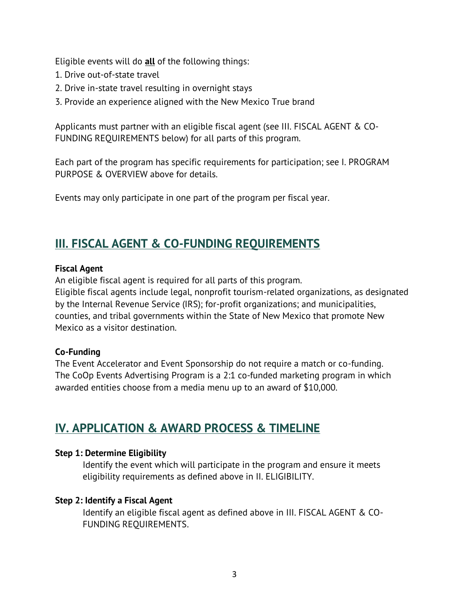Eligible events will do **all** of the following things:

- 1. Drive out-of-state travel
- 2. Drive in-state travel resulting in overnight stays
- 3. Provide an experience aligned with the New Mexico True brand

Applicants must partner with an eligible fiscal agent (see III. FISCAL AGENT & CO-FUNDING REQUIREMENTS below) for all parts of this program.

Each part of the program has specific requirements for participation; see I. PROGRAM PURPOSE & OVERVIEW above for details.

Events may only participate in one part of the program per fiscal year.

### **III. FISCAL AGENT & CO-FUNDING REQUIREMENTS**

#### **Fiscal Agent**

An eligible fiscal agent is required for all parts of this program.

Eligible fiscal agents include legal, nonprofit tourism-related organizations, as designated by the Internal Revenue Service (IRS); for-profit organizations; and municipalities, counties, and tribal governments within the State of New Mexico that promote New Mexico as a visitor destination.

### **Co-Funding**

The Event Accelerator and Event Sponsorship do not require a match or co-funding. The CoOp Events Advertising Program is a 2:1 co-funded marketing program in which awarded entities choose from a media menu up to an award of \$10,000.

### **IV. APPLICATION & AWARD PROCESS & TIMELINE**

### **Step 1: Determine Eligibility**

Identify the event which will participate in the program and ensure it meets eligibility requirements as defined above in II. ELIGIBILITY.

### **Step 2: Identify a Fiscal Agent**

Identify an eligible fiscal agent as defined above in III. FISCAL AGENT & CO-FUNDING REQUIREMENTS.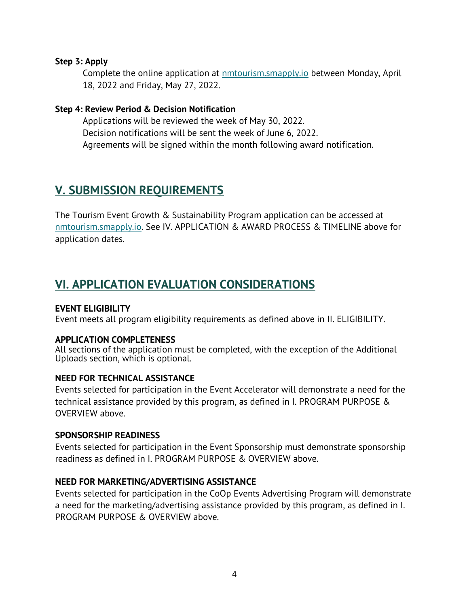#### **Step 3: Apply**

Complete the online application at **nmtourism.smapply.io** between Monday, April 18, 2022 and Friday, May 27, 2022.

#### **Step 4: Review Period & Decision Notification**

Applications will be reviewed the week of May 30, 2022. Decision notifications will be sent the week of June 6, 2022. Agreements will be signed within the month following award notification.

### **V. SUBMISSION REQUIREMENTS**

The Tourism Event Growth & Sustainability Program application can be accessed at [nmtourism.smapply.io.](https://nmtourism.smapply.io/) See IV. APPLICATION & AWARD PROCESS & TIMELINE above for application dates.

### **VI. APPLICATION EVALUATION CONSIDERATIONS**

### **EVENT ELIGIBILITY**

Event meets all program eligibility requirements as defined above in II. ELIGIBILITY.

#### **APPLICATION COMPLETENESS**

All sections of the application must be completed, with the exception of the Additional Uploads section, which is optional.

#### **NEED FOR TECHNICAL ASSISTANCE**

Events selected for participation in the Event Accelerator will demonstrate a need for the technical assistance provided by this program, as defined in I. PROGRAM PURPOSE & OVERVIEW above.

#### **SPONSORSHIP READINESS**

Events selected for participation in the Event Sponsorship must demonstrate sponsorship readiness as defined in I. PROGRAM PURPOSE & OVERVIEW above.

#### **NEED FOR MARKETING/ADVERTISING ASSISTANCE**

Events selected for participation in the CoOp Events Advertising Program will demonstrate a need for the marketing/advertising assistance provided by this program, as defined in I. PROGRAM PURPOSE & OVERVIEW above.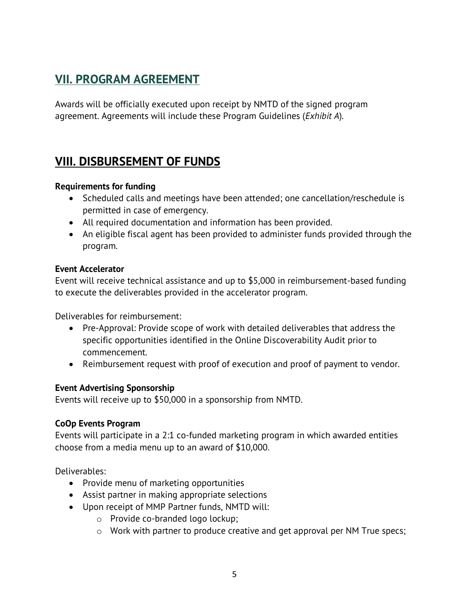### **VII. PROGRAM AGREEMENT**

Awards will be officially executed upon receipt by NMTD of the signed program agreement. Agreements will include these Program Guidelines (*Exhibit A*).

### **VIII. DISBURSEMENT OF FUNDS**

#### **Requirements for funding**

- Scheduled calls and meetings have been attended; one cancellation/reschedule is permitted in case of emergency.
- All required documentation and information has been provided.
- An eligible fiscal agent has been provided to administer funds provided through the program.

#### **Event Accelerator**

Event will receive technical assistance and up to \$5,000 in reimbursement-based funding to execute the deliverables provided in the accelerator program.

Deliverables for reimbursement:

- Pre-Approval: Provide scope of work with detailed deliverables that address the specific opportunities identified in the Online Discoverability Audit prior to commencement.
- Reimbursement request with proof of execution and proof of payment to vendor.

#### **Event Advertising Sponsorship**

Events will receive up to \$50,000 in a sponsorship from NMTD.

### **CoOp Events Program**

Events will participate in a 2:1 co-funded marketing program in which awarded entities choose from a media menu up to an award of \$10,000.

Deliverables:

- Provide menu of marketing opportunities
- Assist partner in making appropriate selections
- Upon receipt of MMP Partner funds, NMTD will:
	- o Provide co-branded logo lockup;
	- o Work with partner to produce creative and get approval per NM True specs;